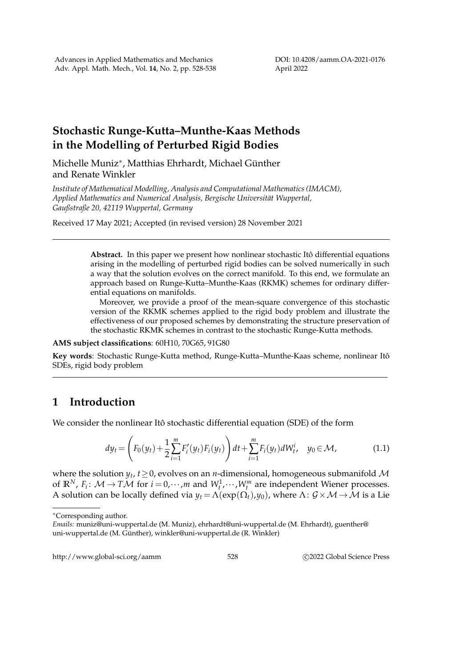DOI: 10.4208/aamm.OA-2021-0176 April 2022

## **Stochastic Runge-Kutta–Munthe-Kaas Methods in the Modelling of Perturbed Rigid Bodies**

Michelle Muniz<sup>∗</sup>, Matthias Ehrhardt, Michael Günther and Renate Winkler

*Institute of Mathematical Modelling, Analysis and Computational Mathematics (IMACM), Applied Mathematics and Numerical Analysis, Bergische Universität Wuppertal, Gaußstraße 20, 42119 Wuppertal, Germany*

Received 17 May 2021; Accepted (in revised version) 28 November 2021

Abstract. In this paper we present how nonlinear stochastic Itô differential equations arising in the modelling of perturbed rigid bodies can be solved numerically in such a way that the solution evolves on the correct manifold. To this end, we formulate an approach based on Runge-Kutta–Munthe-Kaas (RKMK) schemes for ordinary differential equations on manifolds.

Moreover, we provide a proof of the mean-square convergence of this stochastic version of the RKMK schemes applied to the rigid body problem and illustrate the effectiveness of our proposed schemes by demonstrating the structure preservation of the stochastic RKMK schemes in contrast to the stochastic Runge-Kutta methods.

## **AMS subject classifications**: 60H10, 70G65, 91G80

**Key words**: Stochastic Runge-Kutta method, Runge-Kutta–Munthe-Kaas scheme, nonlinear Itoˆ SDEs, rigid body problem

## **1 Introduction**

We consider the nonlinear Itô stochastic differential equation (SDE) of the form

$$
dy_t = \left( F_0(y_t) + \frac{1}{2} \sum_{i=1}^m F'_i(y_t) F_i(y_t) \right) dt + \sum_{i=1}^m F_i(y_t) dW_t^i, \quad y_0 \in \mathcal{M}, \tag{1.1}
$$

where the solution *y<sup>t</sup>* , *t*≥0, evolves on an *n*-dimensional, homogeneous submanifold M of  $\mathbb{R}^N$ ,  $F_i$ :  $\mathcal{M} \to T\mathcal{M}$  for  $i = 0, \dots, m$  and  $W_t^1, \dots, W_t^m$  are independent Wiener processes. A solution can be locally defined via  $y_t = \Lambda(\exp(\Omega_t), y_0)$ , where  $\Lambda: \mathcal{G} \times \mathcal{M} \to \mathcal{M}$  is a Lie

http://www.global-sci.org/aamm 528 
528

528

52022 Global Science Press

<sup>∗</sup>Corresponding author.

*Emails:* muniz@uni-wuppertal.de (M. Muniz), ehrhardt@uni-wuppertal.de (M. Ehrhardt), guenther@ uni-wuppertal.de (M. Günther), winkler@uni-wuppertal.de (R. Winkler)